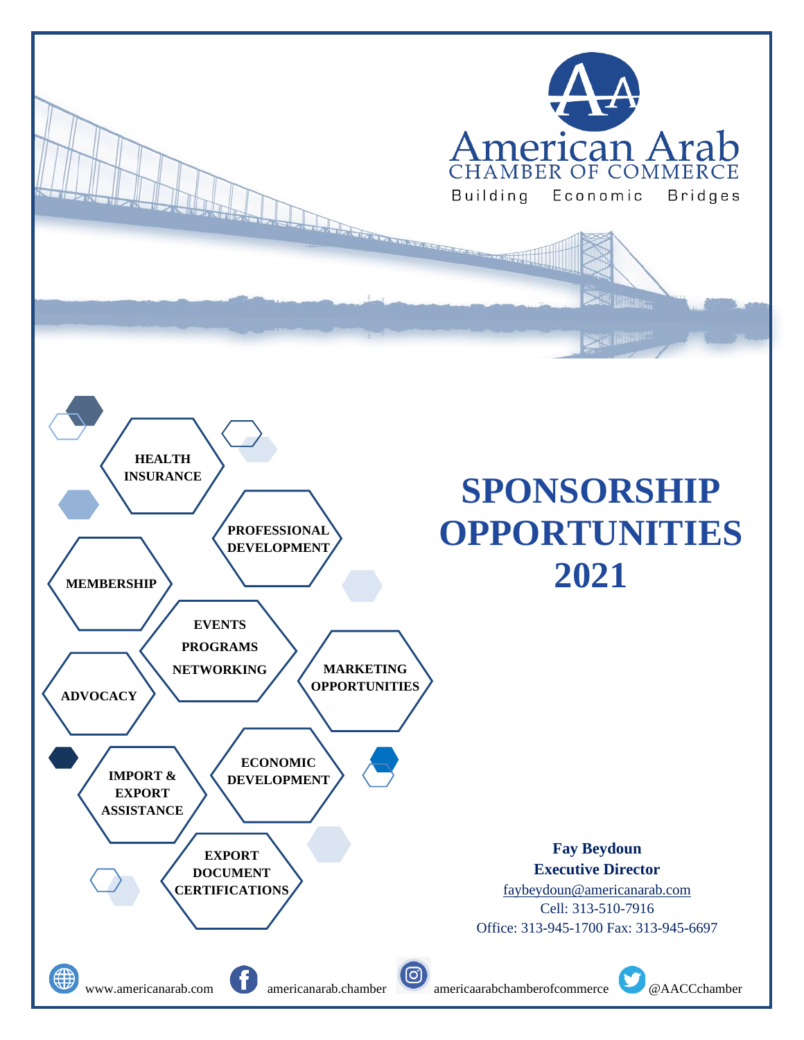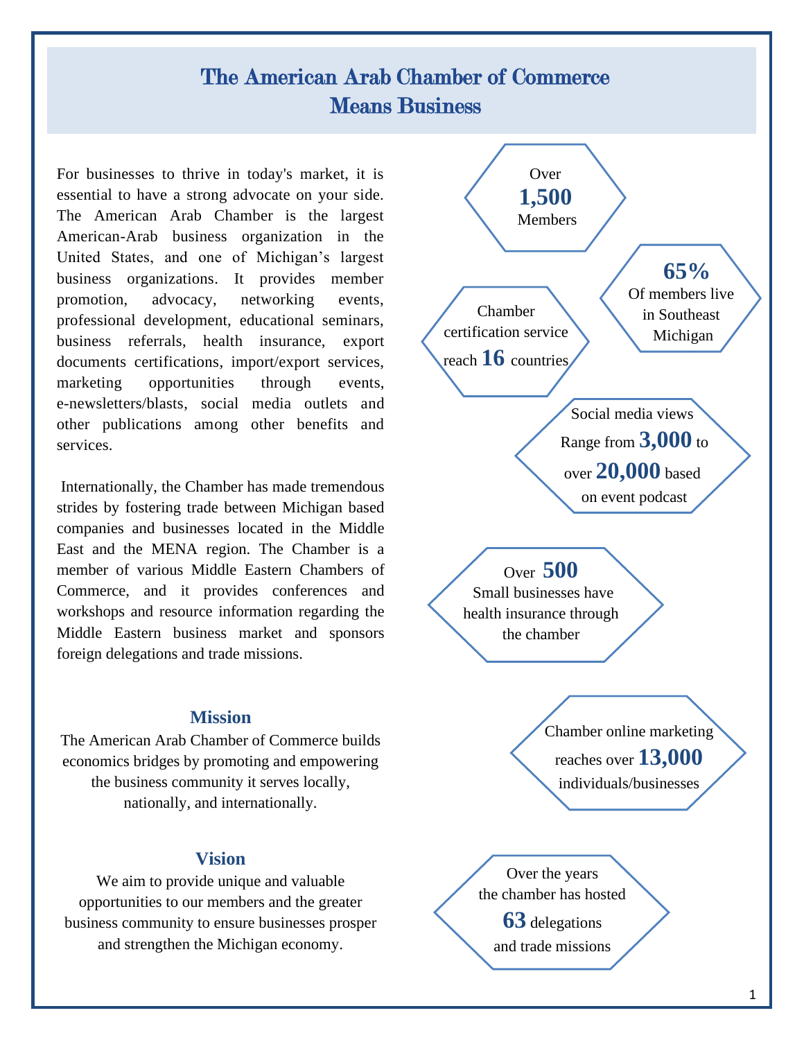## The American Arab Chamber of Commerce Means Business

For businesses to thrive in today's market, it is essential to have a strong advocate on your side. The American Arab Chamber is the largest American-Arab business organization in the United States, and one of Michigan's largest business organizations. It provides member promotion, advocacy, networking events, professional development, educational seminars, business referrals, health insurance, export documents certifications, import/export services, marketing opportunities through events, e-newsletters/blasts, social media outlets and other publications among other benefits and services.

Internationally, the Chamber has made tremendous strides by fostering trade between Michigan based companies and businesses located in the Middle East and the MENA region. The Chamber is a member of various Middle Eastern Chambers of Commerce, and it provides conferences and workshops and resource information regarding the Middle Eastern business market and sponsors foreign delegations and trade missions.

## **Mission**

The American Arab Chamber of Commerce builds economics bridges by promoting and empowering the business community it serves locally, nationally, and internationally.

## **Vision**

We aim to provide unique and valuable opportunities to our members and the greater business community to ensure businesses prosper and strengthen the Michigan economy.

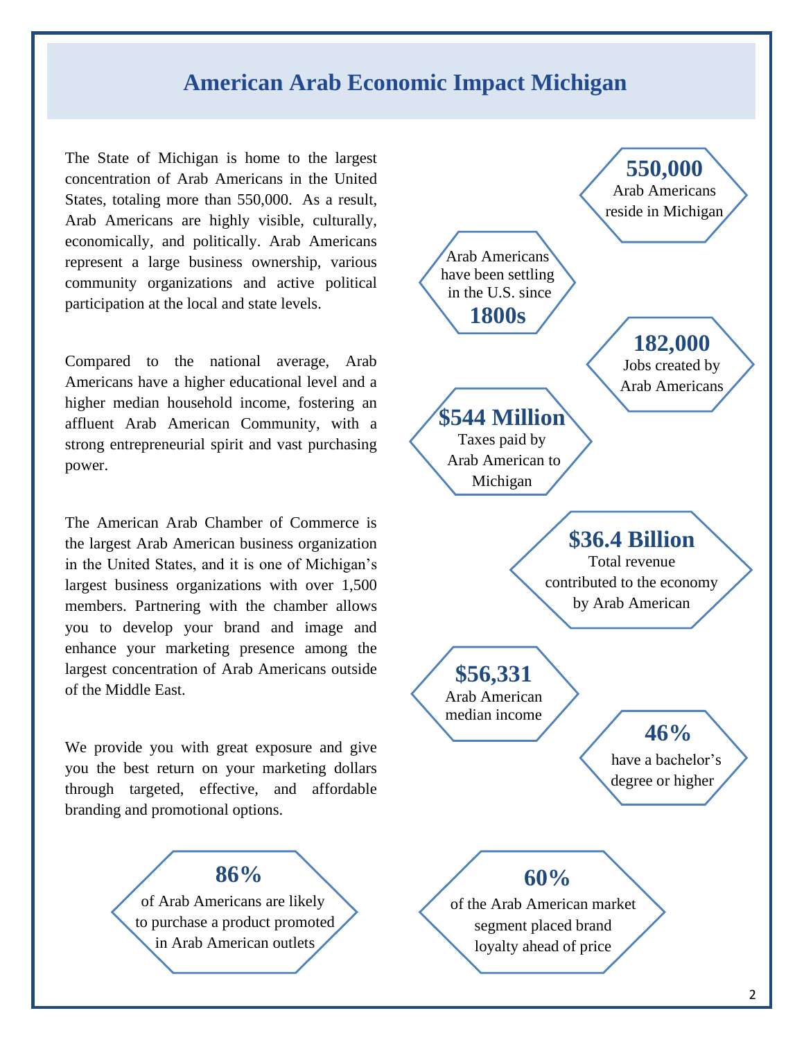## **American Arab Economic Impact Michigan**

The State of Michigan is home to the largest concentration of Arab Americans in the United States, totaling more than 550,000. As a result, Arab Americans are highly visible, culturally, economically, and politically. Arab Americans represent a large business ownership, various community organizations and active political participation at the local and state levels.

Compared to the national average, Arab Americans have a higher educational level and a higher median household income, fostering an affluent Arab American Community, with a strong entrepreneurial spirit and vast purchasing power.

The American Arab Chamber of Commerce is the largest Arab American business organization in the United States, and it is one of Michigan's largest business organizations with over 1,500 members. Partnering with the chamber allows you to develop your brand and image and enhance your marketing presence among the largest concentration of Arab Americans outside of the Middle East.

We provide you with great exposure and give you the best return on your marketing dollars through targeted, effective, and affordable branding and promotional options.



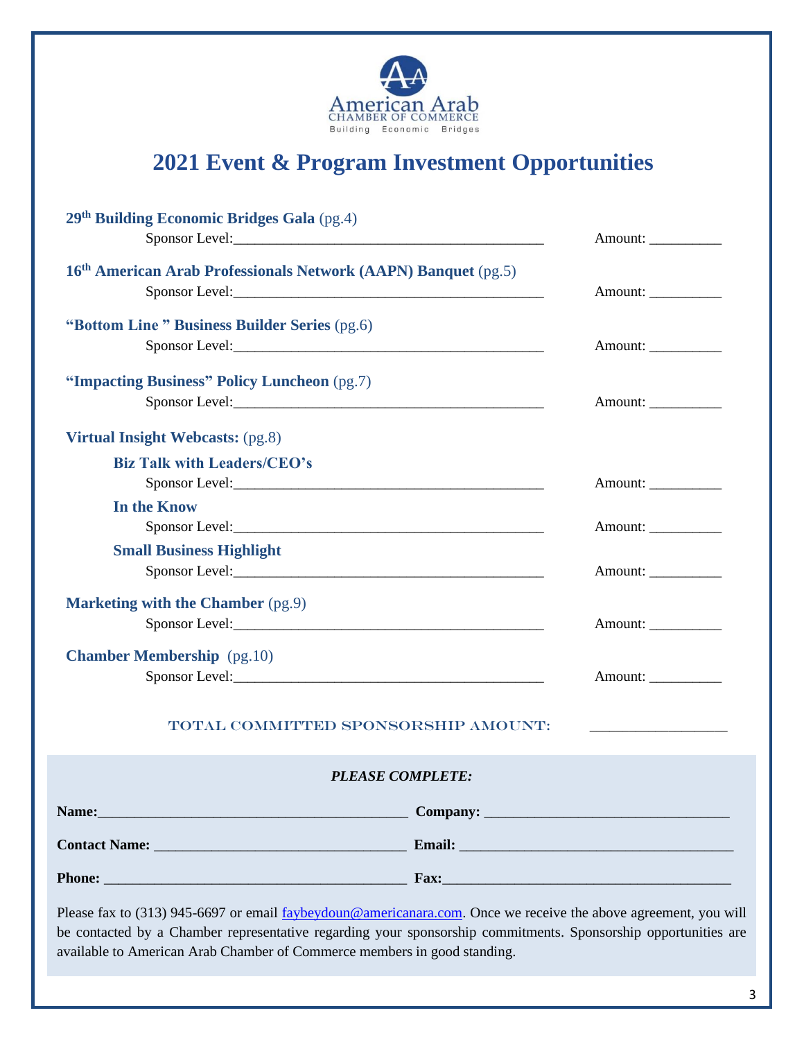

## **2021 Event & Program Investment Opportunities**

| 29th Building Economic Bridges Gala (pg.4)                                                                                                                                                                                        |                         |         |
|-----------------------------------------------------------------------------------------------------------------------------------------------------------------------------------------------------------------------------------|-------------------------|---------|
|                                                                                                                                                                                                                                   |                         | Amount: |
| 16th American Arab Professionals Network (AAPN) Banquet (pg.5)                                                                                                                                                                    |                         |         |
|                                                                                                                                                                                                                                   |                         | Amount: |
| "Bottom Line" Business Builder Series (pg.6)                                                                                                                                                                                      |                         |         |
|                                                                                                                                                                                                                                   |                         | Amount: |
|                                                                                                                                                                                                                                   |                         |         |
| "Impacting Business" Policy Luncheon (pg.7)                                                                                                                                                                                       |                         |         |
|                                                                                                                                                                                                                                   |                         | Amount: |
| Virtual Insight Webcasts: (pg.8)                                                                                                                                                                                                  |                         |         |
| <b>Biz Talk with Leaders/CEO's</b>                                                                                                                                                                                                |                         |         |
|                                                                                                                                                                                                                                   |                         | Amount: |
| In the Know                                                                                                                                                                                                                       |                         |         |
|                                                                                                                                                                                                                                   |                         | Amount: |
| <b>Small Business Highlight</b>                                                                                                                                                                                                   |                         |         |
| Sponsor Level:                                                                                                                                                                                                                    |                         | Amount: |
| <b>Marketing with the Chamber</b> (pg.9)                                                                                                                                                                                          |                         |         |
|                                                                                                                                                                                                                                   |                         | Amount: |
| <b>Chamber Membership</b> (pg.10)                                                                                                                                                                                                 |                         |         |
|                                                                                                                                                                                                                                   |                         | Amount: |
|                                                                                                                                                                                                                                   |                         |         |
| TOTAL COMMITTED SPONSORSHIP AMOUNT:                                                                                                                                                                                               |                         |         |
|                                                                                                                                                                                                                                   | <b>PLEASE COMPLETE:</b> |         |
|                                                                                                                                                                                                                                   |                         |         |
|                                                                                                                                                                                                                                   |                         |         |
|                                                                                                                                                                                                                                   |                         |         |
|                                                                                                                                                                                                                                   |                         |         |
| Please fax to (313) 945-6697 or email faybeydoun@americanara.com. Once we receive the above agreement, you will<br>be contacted by a Chamber representative regarding your sponsorship commitments. Sponsorship opportunities are |                         |         |

be contacted by a Chamber representative regarding your sponsorship commitments. Sponsorship opportunities are available to American Arab Chamber of Commerce members in good standing.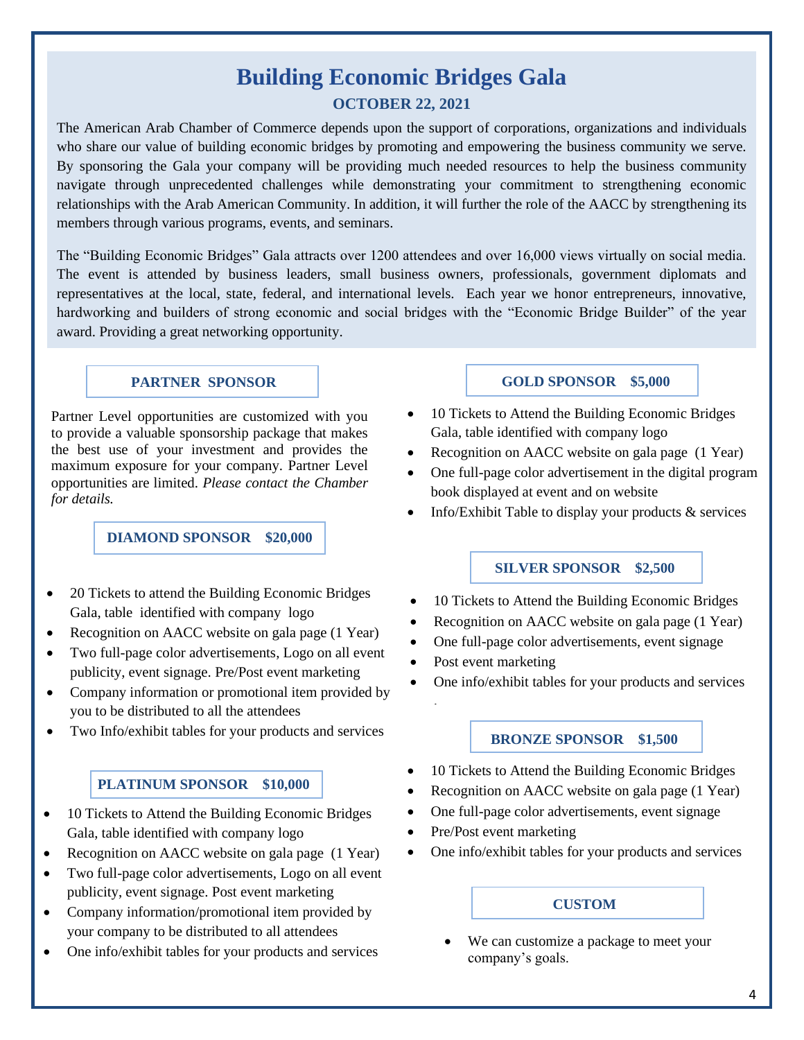# **Building Economic Bridges Gala**

### **OCTOBER 22, 2021**

The American Arab Chamber of Commerce depends upon the support of corporations, organizations and individuals who share our value of building economic bridges by promoting and empowering the business community we serve. By sponsoring the Gala your company will be providing much needed resources to help the business community navigate through unprecedented challenges while demonstrating your commitment to strengthening economic relationships with the Arab American Community. In addition, it will further the role of the AACC by strengthening its members through various programs, events, and seminars.

The "Building Economic Bridges" Gala attracts over 1200 attendees and over 16,000 views virtually on social media. The event is attended by business leaders, small business owners, professionals, government diplomats and representatives at the local, state, federal, and international levels. Each year we honor entrepreneurs, innovative, hardworking and builders of strong economic and social bridges with the "Economic Bridge Builder" of the year award. Providing a great networking opportunity.

#### **PARTNER SPONSOR**

Partner Level opportunities are customized with you to provide a valuable sponsorship package that makes the best use of your investment and provides the maximum exposure for your company. Partner Level opportunities are limited. *Please contact the Chamber for details.*

**DIAMOND SPONSOR \$20,000**

- 20 Tickets to attend the Building Economic Bridges Gala, table identified with company logo
- Recognition on AACC website on gala page (1 Year)
- Two full-page color advertisements, Logo on all event publicity, event signage. Pre/Post event marketing
- Company information or promotional item provided by you to be distributed to all the attendees
- Two Info/exhibit tables for your products and services

#### **PLATINUM SPONSOR \$10,000**

- 10 Tickets to Attend the Building Economic Bridges Gala, table identified with company logo
- Recognition on AACC website on gala page (1 Year)
- Two full-page color advertisements, Logo on all event publicity, event signage. Post event marketing
- Company information/promotional item provided by your company to be distributed to all attendees
- One info/exhibit tables for your products and services

#### **GOLD SPONSOR \$5,000**

- 10 Tickets to Attend the Building Economic Bridges Gala, table identified with company logo
- Recognition on AACC website on gala page (1 Year)
- One full-page color advertisement in the digital program book displayed at event and on website
- Info/Exhibit Table to display your products  $\&$  services

#### **SILVER SPONSOR \$2,500**

- 10 Tickets to Attend the Building Economic Bridges
- Recognition on AACC website on gala page (1 Year)
- One full-page color advertisements, event signage
- Post event marketing
- One info/exhibit tables for your products and services

## **BRONZE SPONSOR \$1,500**

- 10 Tickets to Attend the Building Economic Bridges
- Recognition on AACC website on gala page (1 Year)
- One full-page color advertisements, event signage
- Pre/Post event marketing
- One info/exhibit tables for your products and services

#### **CUSTOM**

We can customize a package to meet your company's goals.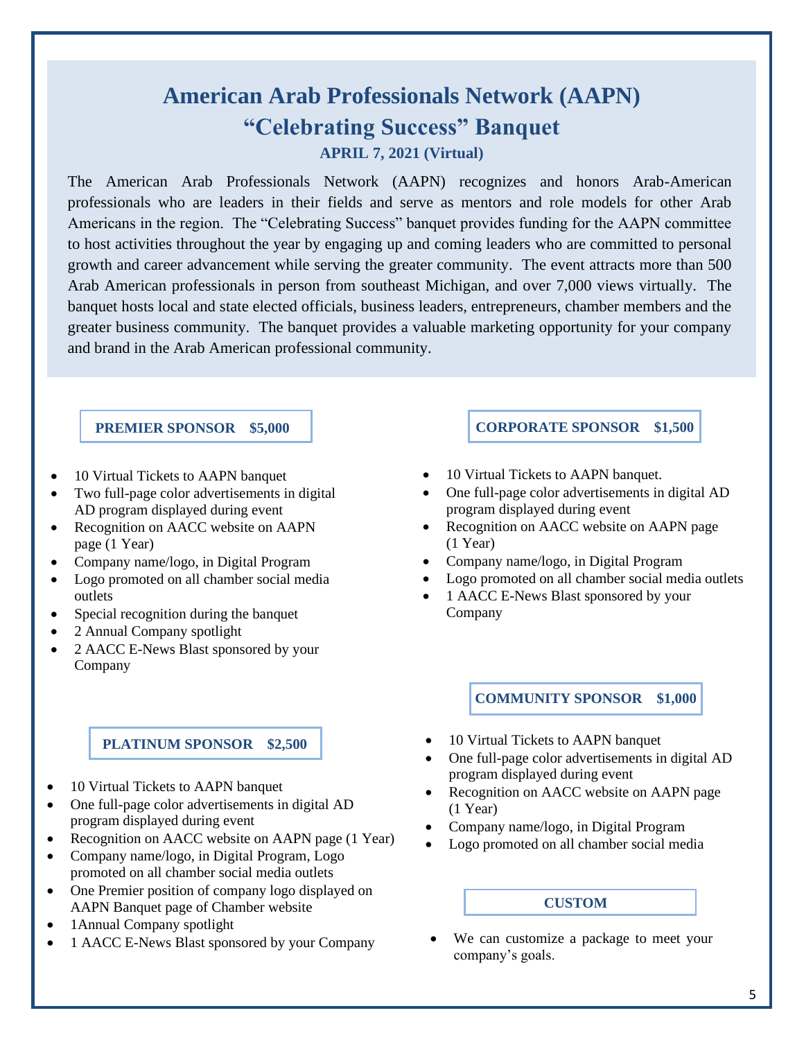## **American Arab Professionals Network (AAPN) "Celebrating Success" Banquet APRIL 7, 2021 (Virtual)**

The American Arab Professionals Network (AAPN) recognizes and honors Arab-American professionals who are leaders in their fields and serve as mentors and role models for other Arab Americans in the region. The "Celebrating Success" banquet provides funding for the AAPN committee to host activities throughout the year by engaging up and coming leaders who are committed to personal growth and career advancement while serving the greater community. The event attracts more than 500 Arab American professionals in person from southeast Michigan, and over 7,000 views virtually. The banquet hosts local and state elected officials, business leaders, entrepreneurs, chamber members and the greater business community. The banquet provides a valuable marketing opportunity for your company and brand in the Arab American professional community.

#### **PREMIER SPONSOR \$5,000**

- 10 Virtual Tickets to AAPN banquet
- Two full-page color advertisements in digital AD program displayed during event
- Recognition on AACC website on AAPN page (1 Year)
- Company name/logo, in Digital Program
- Logo promoted on all chamber social media outlets
- Special recognition during the banquet
- 2 Annual Company spotlight
- 2 AACC E-News Blast sponsored by your Company

#### **PLATINUM SPONSOR \$2,500**

- 10 Virtual Tickets to AAPN banquet
- One full-page color advertisements in digital AD program displayed during event
- Recognition on AACC website on AAPN page (1 Year)
- Company name/logo, in Digital Program, Logo promoted on all chamber social media outlets
- One Premier position of company logo displayed on AAPN Banquet page of Chamber website
- 1 Annual Company spotlight
- 1 AACC E-News Blast sponsored by your Company

## **CORPORATE SPONSOR \$1,500**

- 10 Virtual Tickets to AAPN banquet.
- One full-page color advertisements in digital AD program displayed during event
- Recognition on AACC website on AAPN page (1 Year)
- Company name/logo, in Digital Program
- Logo promoted on all chamber social media outlets
- 1 AACC E-News Blast sponsored by your Company

**COMMUNITY SPONSOR \$1,000**

- 10 Virtual Tickets to AAPN banquet
- One full-page color advertisements in digital AD program displayed during event
- Recognition on AACC website on AAPN page (1 Year)
- Company name/logo, in Digital Program
- Logo promoted on all chamber social media

## **CUSTOM**

We can customize a package to meet your company's goals.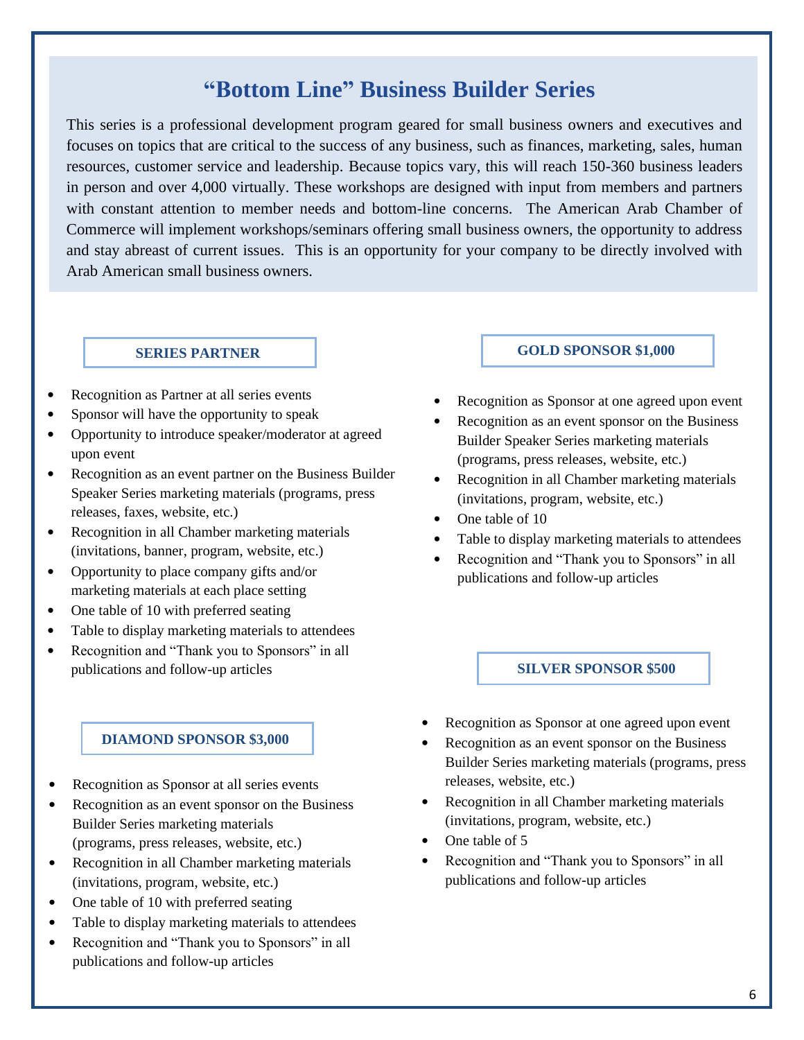## **"Bottom Line" Business Builder Series**

This series is a professional development program geared for small business owners and executives and focuses on topics that are critical to the success of any business, such as finances, marketing, sales, human resources, customer service and leadership. Because topics vary, this will reach 150-360 business leaders in person and over 4,000 virtually. These workshops are designed with input from members and partners with constant attention to member needs and bottom-line concerns. The American Arab Chamber of Commerce will implement workshops/seminars offering small business owners, the opportunity to address and stay abreast of current issues. This is an opportunity for your company to be directly involved with Arab American small business owners.

#### **SERIES PARTNER**

• Recognition as Partner at all series events

í

- Sponsor will have the opportunity to speak
- Opportunity to introduce speaker/moderator at agreed upon event
- Recognition as an event partner on the Business Builder Speaker Series marketing materials (programs, press releases, faxes, website, etc.)
- Recognition in all Chamber marketing materials (invitations, banner, program, website, etc.)
- Opportunity to place company gifts and/or marketing materials at each place setting
- One table of 10 with preferred seating
- Table to display marketing materials to attendees
- Recognition and "Thank you to Sponsors" in all publications and follow-up articles

#### **DIAMOND SPONSOR \$3,000**

- Recognition as Sponsor at all series events
- Recognition as an event sponsor on the Business Builder Series marketing materials (programs, press releases, website, etc.)
- Recognition in all Chamber marketing materials (invitations, program, website, etc.)
- One table of 10 with preferred seating
- Table to display marketing materials to attendees
- Recognition and "Thank you to Sponsors" in all publications and follow-up articles

#### **GOLD SPONSOR \$1,000**

- Recognition as Sponsor at one agreed upon event
- Recognition as an event sponsor on the Business Builder Speaker Series marketing materials (programs, press releases, website, etc.)
- Recognition in all Chamber marketing materials (invitations, program, website, etc.)
- One table of 10
- Table to display marketing materials to attendees
- Recognition and "Thank you to Sponsors" in all publications and follow-up articles

#### **SILVER SPONSOR \$500**

- Recognition as Sponsor at one agreed upon event
- Recognition as an event sponsor on the Business Builder Series marketing materials (programs, press releases, website, etc.)
- Recognition in all Chamber marketing materials (invitations, program, website, etc.)
- One table of 5
- Recognition and "Thank you to Sponsors" in all publications and follow-up articles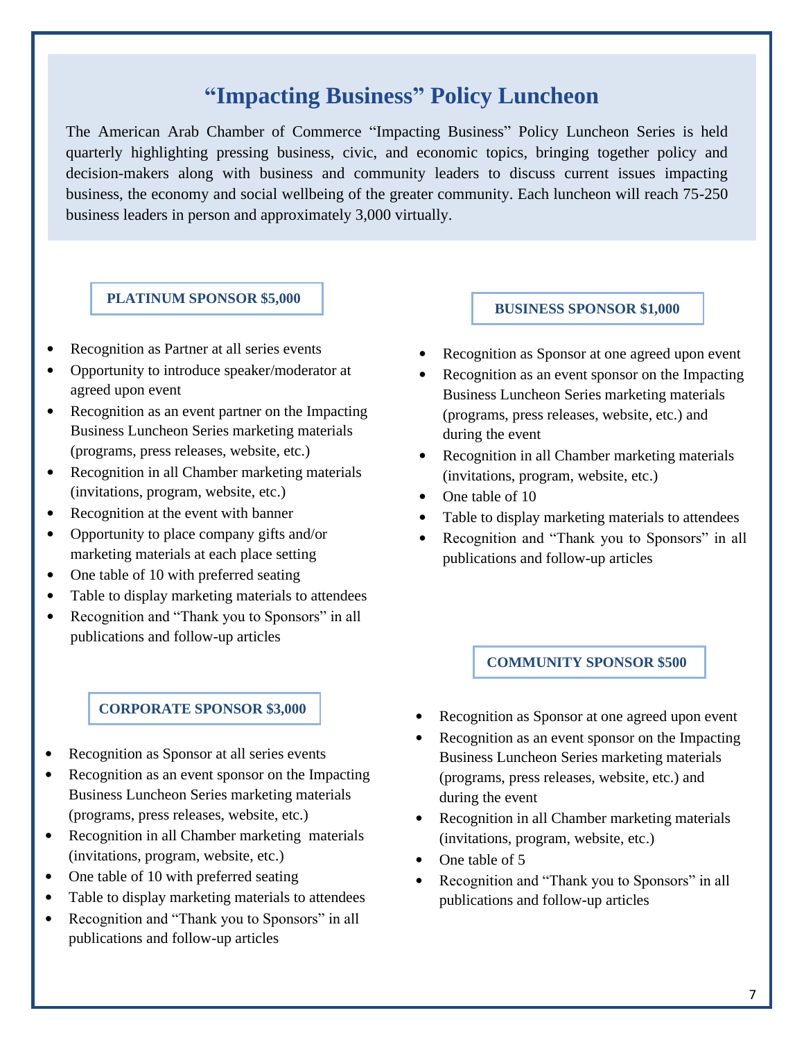## **"Impacting Business" Policy Luncheon**

The American Arab Chamber of Commerce "Impacting Business" Policy Luncheon Series is held quarterly highlighting pressing business, civic, and economic topics, bringing together policy and decision-makers along with business and community leaders to discuss current issues impacting business, the economy and social wellbeing of the greater community. Each luncheon will reach 75-250 business leaders in person and approximately 3,000 virtually.

#### **PLATINUM SPONSOR \$5,000**

- Recognition as Partner at all series events
- Opportunity to introduce speaker/moderator at agreed upon event
- Recognition as an event partner on the Impacting Business Luncheon Series marketing materials (programs, press releases, website, etc.)
- Recognition in all Chamber marketing materials (invitations, program, website, etc.)
- Recognition at the event with banner
- Opportunity to place company gifts and/or marketing materials at each place setting
- One table of 10 with preferred seating
- Table to display marketing materials to attendees
- Recognition and "Thank you to Sponsors" in all publications and follow-up articles

#### **CORPORATE SPONSOR \$3,000**

- Recognition as Sponsor at all series events
- Recognition as an event sponsor on the Impacting Business Luncheon Series marketing materials (programs, press releases, website, etc.)
- Recognition in all Chamber marketing materials (invitations, program, website, etc.)
- One table of 10 with preferred seating
- Table to display marketing materials to attendees
- Recognition and "Thank you to Sponsors" in all publications and follow-up articles

#### **BUSINESS SPONSOR \$1,000**

- Recognition as Sponsor at one agreed upon event
- Recognition as an event sponsor on the Impacting Business Luncheon Series marketing materials (programs, press releases, website, etc.) and during the event
- Recognition in all Chamber marketing materials (invitations, program, website, etc.)
- One table of 10
- Table to display marketing materials to attendees
- Recognition and "Thank you to Sponsors" in all publications and follow-up articles

#### **COMMUNITY SPONSOR \$500**

- Recognition as Sponsor at one agreed upon event
- Recognition as an event sponsor on the Impacting Business Luncheon Series marketing materials (programs, press releases, website, etc.) and during the event
- Recognition in all Chamber marketing materials (invitations, program, website, etc.)
- One table of 5
- Recognition and "Thank you to Sponsors" in all publications and follow-up articles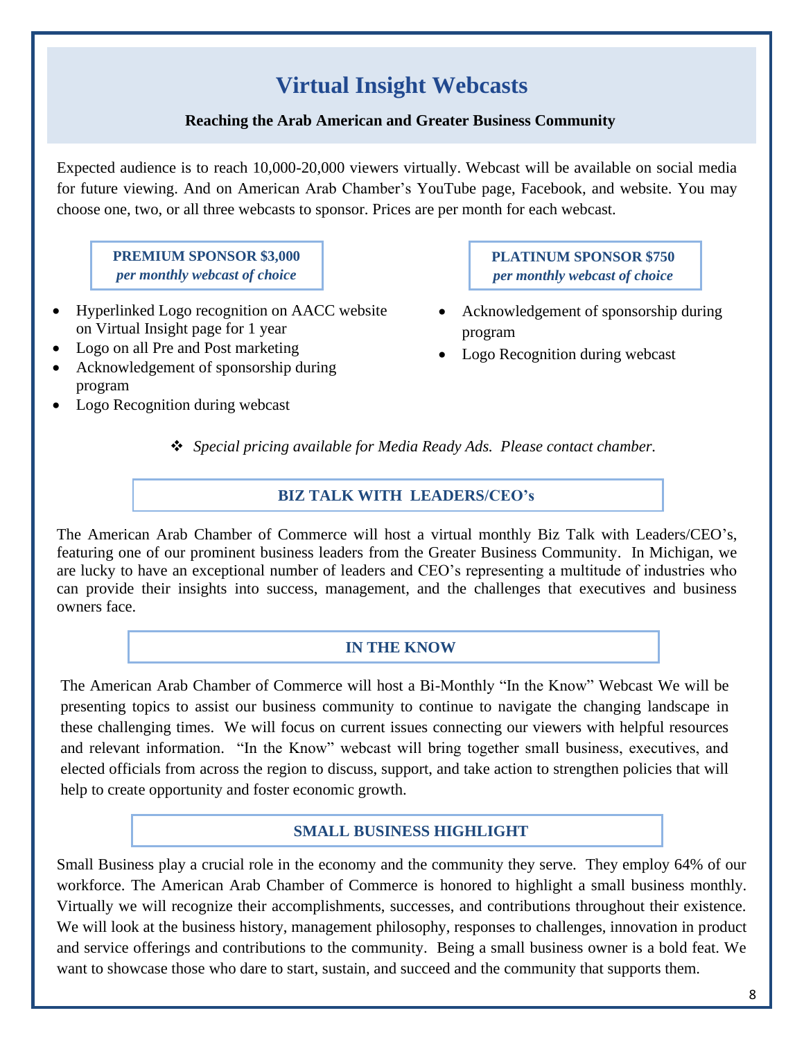## **Virtual Insight Webcasts**

### **Reaching the Arab American and Greater Business Community**

Expected audience is to reach 10,000-20,000 viewers virtually. Webcast will be available on social media for future viewing. And on American Arab Chamber's YouTube page, Facebook, and website. You may choose one, two, or all three webcasts to sponsor. Prices are per month for each webcast.

**PREMIUM SPONSOR \$3,000** *per monthly webcast of choice*

- Hyperlinked Logo recognition on AACC website on Virtual Insight page for 1 year
- Logo on all Pre and Post marketing
- Acknowledgement of sponsorship during program
- Logo Recognition during webcast

**PLATINUM SPONSOR \$750** *per monthly webcast of choice*

- Acknowledgement of sponsorship during program
- Logo Recognition during webcast

❖ *Special pricing available for Media Ready Ads. Please contact chamber.*

## **BIZ TALK WITH LEADERS/CEO's**

The American Arab Chamber of Commerce will host a virtual monthly Biz Talk with Leaders/CEO's, featuring one of our prominent business leaders from the Greater Business Community. In Michigan, we are lucky to have an exceptional number of leaders and CEO's representing a multitude of industries who can provide their insights into success, management, and the challenges that executives and business owners face.

## **IN THE KNOW**

The American Arab Chamber of Commerce will host a Bi-Monthly "In the Know" Webcast We will be presenting topics to assist our business community to continue to navigate the changing landscape in these challenging times. We will focus on current issues connecting our viewers with helpful resources and relevant information. "In the Know" webcast will bring together small business, executives, and elected officials from across the region to discuss, support, and take action to strengthen policies that will help to create opportunity and foster economic growth.

## **SMALL BUSINESS HIGHLIGHT**

Small Business play a crucial role in the economy and the community they serve. They employ 64% of our workforce. The American Arab Chamber of Commerce is honored to highlight a small business monthly. Virtually we will recognize their accomplishments, successes, and contributions throughout their existence. We will look at the business history, management philosophy, responses to challenges, innovation in product and service offerings and contributions to the community. Being a small business owner is a bold feat. We want to showcase those who dare to start, sustain, and succeed and the community that supports them.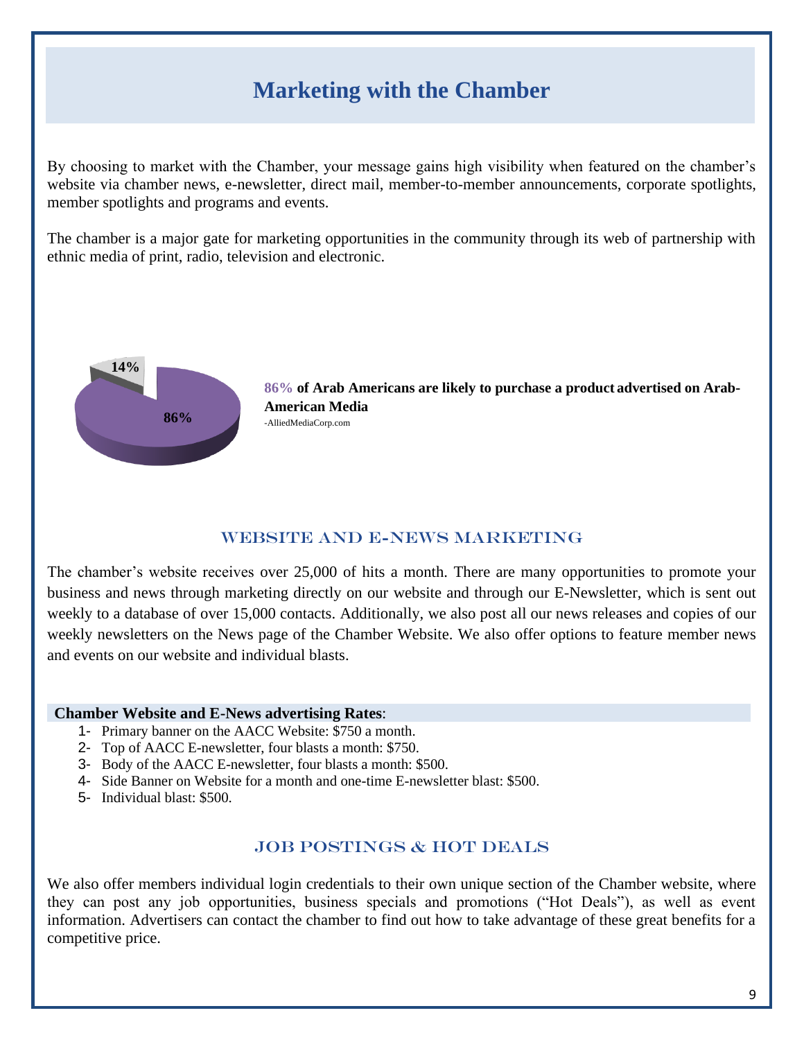## **Marketing with the Chamber**

By choosing to market with the Chamber, your message gains high visibility when featured on the chamber's website via chamber news, e-newsletter, direct mail, member-to-member announcements, corporate spotlights, member spotlights and programs and events.

The chamber is a major gate for marketing opportunities in the community through its web of partnership with ethnic media of print, radio, television and electronic.



**86% of Arab Americans are likely to purchase a product advertised on Arab-American Media** -AlliedMediaCorp.com

## WEBSITE AND E-NEWS MARKETING

The chamber's website receives over 25,000 of hits a month. There are many opportunities to promote your business and news through marketing directly on our website and through our E-Newsletter, which is sent out weekly to a database of over 15,000 contacts. Additionally, we also post all our news releases and copies of our weekly newsletters on the News page of the Chamber Website. We also offer options to feature member news and events on our website and individual blasts.

#### **Chamber Website and E-News advertising Rates**:

- 1- Primary banner on the AACC Website: \$750 a month.
- 2- Top of AACC E-newsletter, four blasts a month: \$750.
- 3- Body of the AACC E-newsletter, four blasts a month: \$500.
- 4- Side Banner on Website for a month and one-time E-newsletter blast: \$500.
- 5- Individual blast: \$500.

## JOB POSTINGS & HOT DEALS

We also offer members individual login credentials to their own unique section of the Chamber website, where they can post any job opportunities, business specials and promotions ("Hot Deals"), as well as event information. Advertisers can contact the chamber to find out how to take advantage of these great benefits for a competitive price.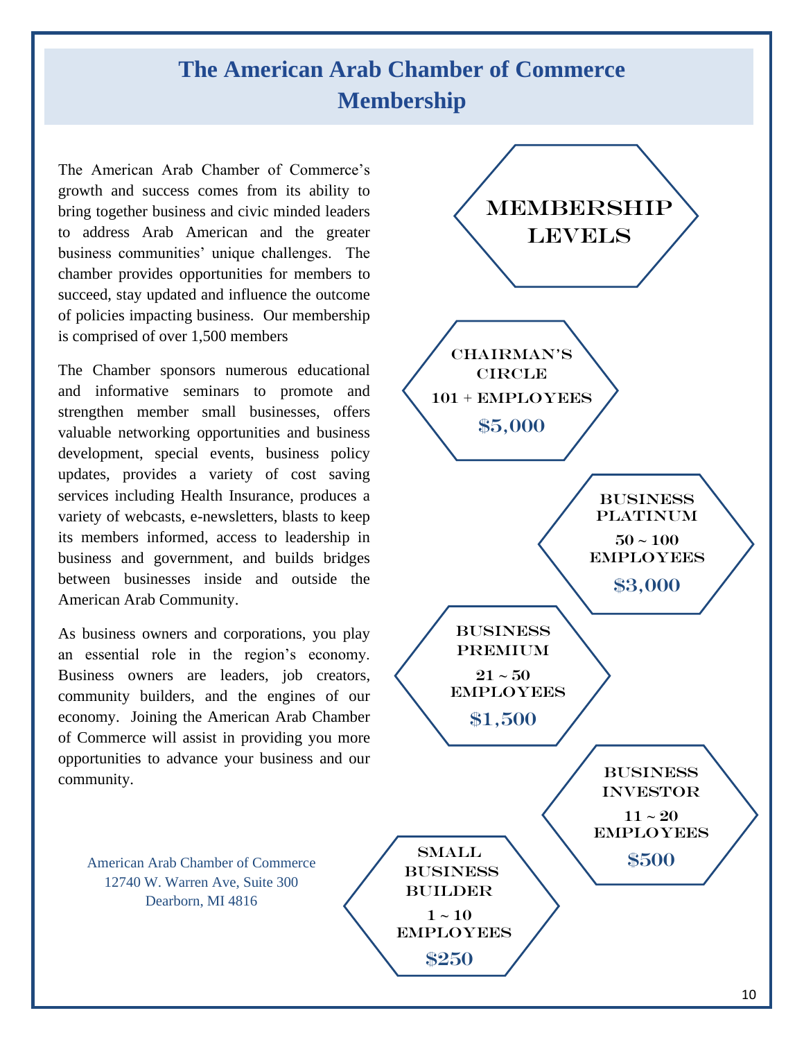## **The American Arab Chamber of Commerce Membership**

The American Arab Chamber of Commerce's growth and success comes from its ability to bring together business and civic minded leaders to address Arab American and the greater business communities' unique challenges. The chamber provides opportunities for members to succeed, stay updated and influence the outcome of policies impacting business. Our membership is comprised of over 1,500 members

The Chamber sponsors numerous educational and informative seminars to promote and strengthen member small businesses, offers valuable networking opportunities and business development, special events, business policy updates, provides a variety of cost saving services including Health Insurance, produces a variety of webcasts, e-newsletters, blasts to keep its members informed, access to leadership in business and government, and builds bridges between businesses inside and outside the American Arab Community.

As business owners and corporations, you play an essential role in the region's economy. Business owners are leaders, job creators, community builders, and the engines of our economy. Joining the American Arab Chamber of Commerce will assist in providing you more opportunities to advance your business and our community.

American Arab Chamber of Commerce 12740 W. Warren Ave, Suite 300 Dearborn, MI 4816